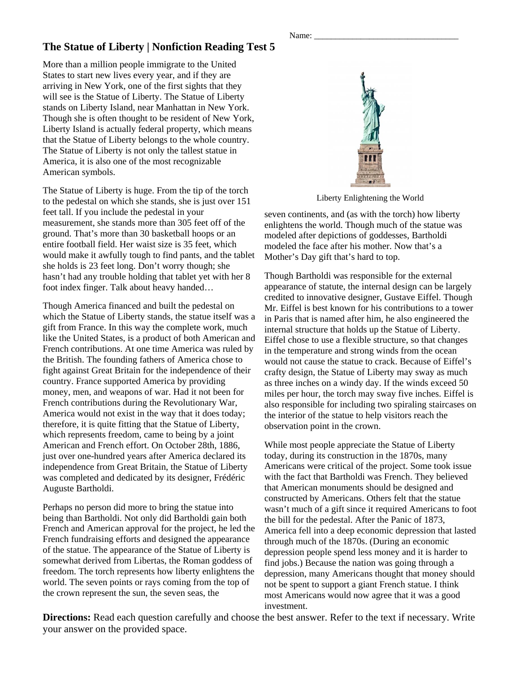## **The Statue of Liberty | Nonfiction Reading Test 5**

More than a million people immigrate to the United States to start new lives every year, and if they are arriving in New York, one of the first sights that they will see is the Statue of Liberty. The Statue of Liberty stands on Liberty Island, near Manhattan in New York. Though she is often thought to be resident of New York, Liberty Island is actually federal property, which means that the Statue of Liberty belongs to the whole country. The Statue of Liberty is not only the tallest statue in America, it is also one of the most recognizable American symbols.

The Statue of Liberty is huge. From the tip of the torch to the pedestal on which she stands, she is just over 151 feet tall. If you include the pedestal in your measurement, she stands more than 305 feet off of the ground. That's more than 30 basketball hoops or an entire football field. Her waist size is 35 feet, which would make it awfully tough to find pants, and the tablet she holds is 23 feet long. Don't worry though; she hasn't had any trouble holding that tablet yet with her 8 foot index finger. Talk about heavy handed…

Though America financed and built the pedestal on which the Statue of Liberty stands, the statue itself was a gift from France. In this way the complete work, much like the United States, is a product of both American and French contributions. At one time America was ruled by the British. The founding fathers of America chose to fight against Great Britain for the independence of their country. France supported America by providing money, men, and weapons of war. Had it not been for French contributions during the Revolutionary War, America would not exist in the way that it does today; therefore, it is quite fitting that the Statue of Liberty, which represents freedom, came to being by a joint American and French effort. On October 28th, 1886, just over one-hundred years after America declared its independence from Great Britain, the Statue of Liberty was completed and dedicated by its designer, Frédéric Auguste Bartholdi.

Perhaps no person did more to bring the statue into being than Bartholdi. Not only did Bartholdi gain both French and American approval for the project, he led the French fundraising efforts and designed the appearance of the statue. The appearance of the Statue of Liberty is somewhat derived from Libertas, the Roman goddess of freedom. The torch represents how liberty enlightens the world. The seven points or rays coming from the top of the crown represent the sun, the seven seas, the



Liberty Enlightening the World

seven continents, and (as with the torch) how liberty enlightens the world. Though much of the statue was modeled after depictions of goddesses, Bartholdi modeled the face after his mother. Now that's a Mother's Day gift that's hard to top.

Though Bartholdi was responsible for the external appearance of statute, the internal design can be largely credited to innovative designer, Gustave Eiffel. Though Mr. Eiffel is best known for his contributions to a tower in Paris that is named after him, he also engineered the internal structure that holds up the Statue of Liberty. Eiffel chose to use a flexible structure, so that changes in the temperature and strong winds from the ocean would not cause the statue to crack. Because of Eiffel's crafty design, the Statue of Liberty may sway as much as three inches on a windy day. If the winds exceed 50 miles per hour, the torch may sway five inches. Eiffel is also responsible for including two spiraling staircases on the interior of the statue to help visitors reach the observation point in the crown.

While most people appreciate the Statue of Liberty today, during its construction in the 1870s, many Americans were critical of the project. Some took issue with the fact that Bartholdi was French. They believed that American monuments should be designed and constructed by Americans. Others felt that the statue wasn't much of a gift since it required Americans to foot the bill for the pedestal. After the Panic of 1873, America fell into a deep economic depression that lasted through much of the 1870s. (During an economic depression people spend less money and it is harder to find jobs.) Because the nation was going through a depression, many Americans thought that money should not be spent to support a giant French statue. I think most Americans would now agree that it was a good investment.

**Directions:** Read each question carefully and choose the best answer. Refer to the text if necessary. Write your answer on the provided space.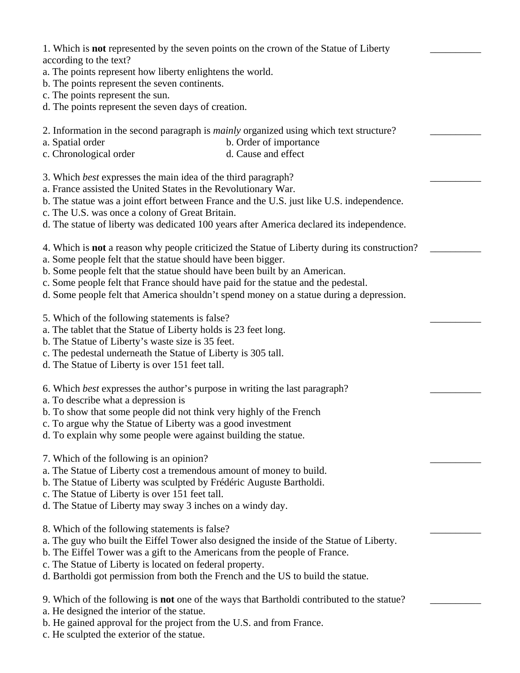1. Which is **not** represented by the seven points on the crown of the Statue of Liberty according to the text?

\_\_\_\_\_\_\_\_\_\_

\_\_\_\_\_\_\_\_\_\_

\_\_\_\_\_\_\_\_\_\_

\_\_\_\_\_\_\_\_\_\_

 $\overline{\phantom{a}}$ 

\_\_\_\_\_\_\_\_\_\_

\_\_\_\_\_\_\_\_\_\_

\_\_\_\_\_\_\_\_\_\_

 $\overline{\phantom{a}}$ 

- a. The points represent how liberty enlightens the world.
- b. The points represent the seven continents.
- c. The points represent the sun.
- d. The points represent the seven days of creation.
- 2. Information in the second paragraph is *mainly* organized using which text structure?
- a. Spatial order b. Order of importance
- c. Chronological order d. Cause and effect
- 3. Which *best* expresses the main idea of the third paragraph?
- a. France assisted the United States in the Revolutionary War.
- b. The statue was a joint effort between France and the U.S. just like U.S. independence.
- c. The U.S. was once a colony of Great Britain.
- d. The statue of liberty was dedicated 100 years after America declared its independence.
- 4. Which is **not** a reason why people criticized the Statue of Liberty during its construction?
- a. Some people felt that the statue should have been bigger.
- b. Some people felt that the statue should have been built by an American.
- c. Some people felt that France should have paid for the statue and the pedestal.
- d. Some people felt that America shouldn't spend money on a statue during a depression.
- 5. Which of the following statements is false?
- a. The tablet that the Statue of Liberty holds is 23 feet long.
- b. The Statue of Liberty's waste size is 35 feet.
- c. The pedestal underneath the Statue of Liberty is 305 tall.
- d. The Statue of Liberty is over 151 feet tall.
- 6. Which *best* expresses the author's purpose in writing the last paragraph?
- a. To describe what a depression is
- b. To show that some people did not think very highly of the French
- c. To argue why the Statue of Liberty was a good investment
- d. To explain why some people were against building the statue.
- 7. Which of the following is an opinion?
- a. The Statue of Liberty cost a tremendous amount of money to build.
- b. The Statue of Liberty was sculpted by Frédéric Auguste Bartholdi.
- c. The Statue of Liberty is over 151 feet tall.
- d. The Statue of Liberty may sway 3 inches on a windy day.
- 8. Which of the following statements is false?
- a. The guy who built the Eiffel Tower also designed the inside of the Statue of Liberty.
- b. The Eiffel Tower was a gift to the Americans from the people of France.
- c. The Statue of Liberty is located on federal property.
- d. Bartholdi got permission from both the French and the US to build the statue.
- 9. Which of the following is **not** one of the ways that Bartholdi contributed to the statue?
- a. He designed the interior of the statue.
- b. He gained approval for the project from the U.S. and from France.
- c. He sculpted the exterior of the statue.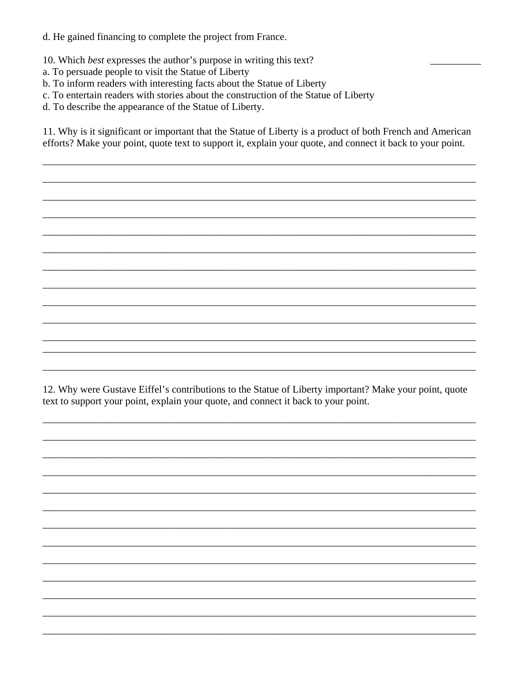d. He gained financing to complete the project from France.

- 10. Which best expresses the author's purpose in writing this text?
- a. To persuade people to visit the Statue of Liberty
- b. To inform readers with interesting facts about the Statue of Liberty
- c. To entertain readers with stories about the construction of the Statue of Liberty
- d. To describe the appearance of the Statue of Liberty.

11. Why is it significant or important that the Statue of Liberty is a product of both French and American efforts? Make your point, quote text to support it, explain your quote, and connect it back to your point.

12. Why were Gustave Eiffel's contributions to the Statue of Liberty important? Make your point, quote text to support your point, explain your quote, and connect it back to your point.